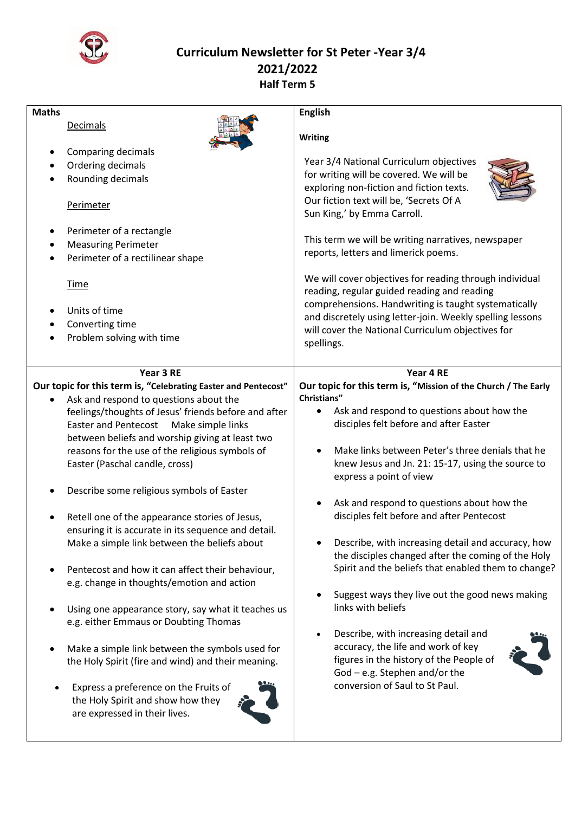

 **Curriculum Newsletter for St Peter -Year 3/4 2021/2022 Half Term 5**

| <b>Maths</b> | Decimals                                                                                                                                                                                                                                                                                                                                                                                                                                                                                                                                                                                                                                                                                                                                                                                                                                                                                                                                                                                                 | <b>English</b><br><b>Writing</b>                                                                                                                                                                                                                                                                                                                                                                                                                                                                                                                                                                                                                                                                                                                                                                                                                                                                                             |
|--------------|----------------------------------------------------------------------------------------------------------------------------------------------------------------------------------------------------------------------------------------------------------------------------------------------------------------------------------------------------------------------------------------------------------------------------------------------------------------------------------------------------------------------------------------------------------------------------------------------------------------------------------------------------------------------------------------------------------------------------------------------------------------------------------------------------------------------------------------------------------------------------------------------------------------------------------------------------------------------------------------------------------|------------------------------------------------------------------------------------------------------------------------------------------------------------------------------------------------------------------------------------------------------------------------------------------------------------------------------------------------------------------------------------------------------------------------------------------------------------------------------------------------------------------------------------------------------------------------------------------------------------------------------------------------------------------------------------------------------------------------------------------------------------------------------------------------------------------------------------------------------------------------------------------------------------------------------|
|              | Comparing decimals<br>Ordering decimals<br>Rounding decimals<br>Perimeter<br>Perimeter of a rectangle<br><b>Measuring Perimeter</b><br>Perimeter of a rectilinear shape<br><b>Time</b><br>Units of time<br>Converting time<br>Problem solving with time                                                                                                                                                                                                                                                                                                                                                                                                                                                                                                                                                                                                                                                                                                                                                  | Year 3/4 National Curriculum objectives<br>for writing will be covered. We will be<br>exploring non-fiction and fiction texts.<br>Our fiction text will be, 'Secrets Of A<br>Sun King,' by Emma Carroll.<br>This term we will be writing narratives, newspaper<br>reports, letters and limerick poems.<br>We will cover objectives for reading through individual<br>reading, regular guided reading and reading<br>comprehensions. Handwriting is taught systematically<br>and discretely using letter-join. Weekly spelling lessons<br>will cover the National Curriculum objectives for<br>spellings.                                                                                                                                                                                                                                                                                                                     |
|              | Year 3 RE<br>Our topic for this term is, "Celebrating Easter and Pentecost"<br>Ask and respond to questions about the<br>feelings/thoughts of Jesus' friends before and after<br><b>Easter and Pentecost</b><br>Make simple links<br>between beliefs and worship giving at least two<br>reasons for the use of the religious symbols of<br>Easter (Paschal candle, cross)<br>Describe some religious symbols of Easter<br>Retell one of the appearance stories of Jesus,<br>ensuring it is accurate in its sequence and detail.<br>Make a simple link between the beliefs about<br>Pentecost and how it can affect their behaviour,<br>e.g. change in thoughts/emotion and action<br>Using one appearance story, say what it teaches us<br>e.g. either Emmaus or Doubting Thomas<br>Make a simple link between the symbols used for<br>the Holy Spirit (fire and wind) and their meaning.<br>Express a preference on the Fruits of<br>the Holy Spirit and show how they<br>are expressed in their lives. | Year 4 RE<br>Our topic for this term is, "Mission of the Church / The Early<br>Christians"<br>Ask and respond to questions about how the<br>$\bullet$<br>disciples felt before and after Easter<br>Make links between Peter's three denials that he<br>$\bullet$<br>knew Jesus and Jn. 21: 15-17, using the source to<br>express a point of view<br>Ask and respond to questions about how the<br>$\bullet$<br>disciples felt before and after Pentecost<br>Describe, with increasing detail and accuracy, how<br>the disciples changed after the coming of the Holy<br>Spirit and the beliefs that enabled them to change?<br>Suggest ways they live out the good news making<br>$\bullet$<br>links with beliefs<br>Describe, with increasing detail and<br>$\bullet$<br>accuracy, the life and work of key<br>figures in the history of the People of<br>$God - e.g. Stephen and/or the$<br>conversion of Saul to St Paul. |